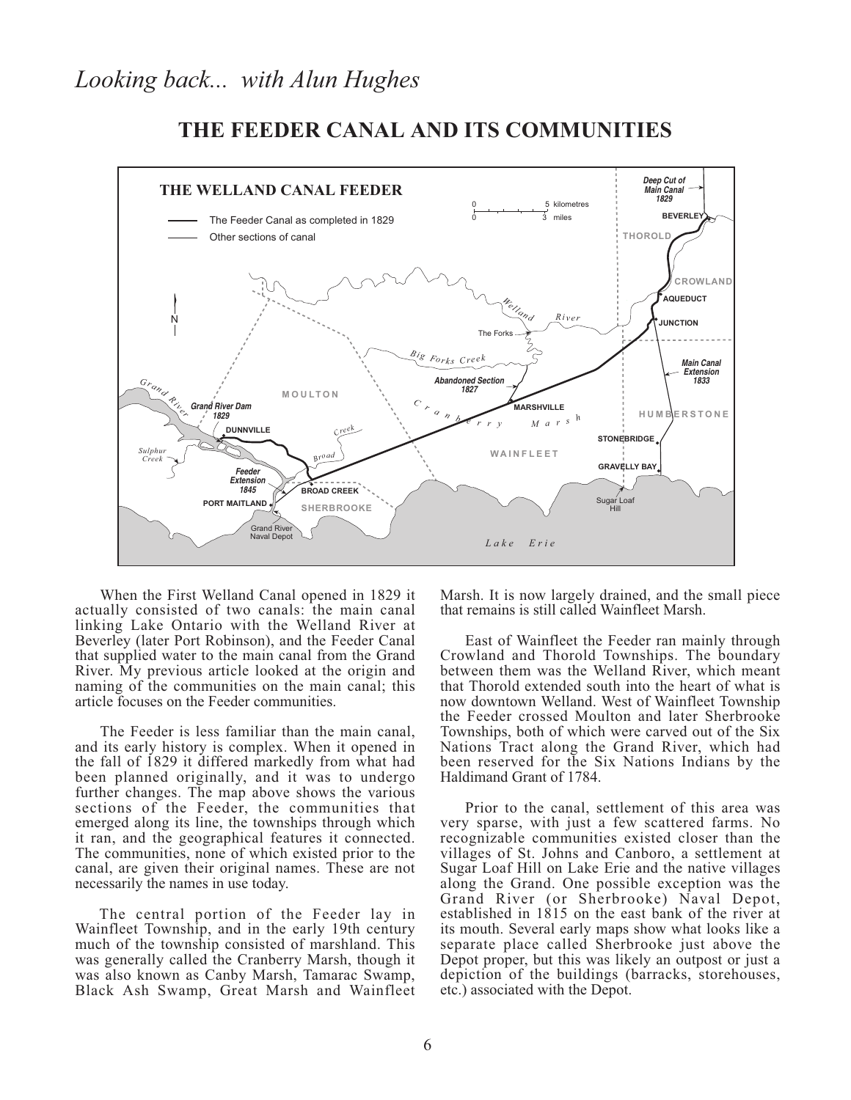

# THE FEEDER CANAL AND ITS COMMUNITIES

When the First Welland Canal opened in 1829 it actually consisted of two canals: the main canal linking Lake Ontario with the Welland River at Beverley (later Port Robinson), and the Feeder Canal that supplied water to the main canal from the Grand River. My previous article looked at the origin and naming of the communities on the main canal; this article focuses on the Feeder communities.

The Feeder is less familiar than the main canal, and its early history is complex. When it opened in the fall of 1829 it differed markedly from what had been planned originally, and it was to undergo further changes. The map above shows the various sections of the Feeder, the communities that emerged along its line, the townships through which it ran, and the geographical features it connected. The communities, none of which existed prior to the canal, are given their original names. These are not necessarily the names in use today.

The central portion of the Feeder lay in Wainfleet Township, and in the early 19th century much of the township consisted of marshland. This was generally called the Cranberry Marsh, though it was also known as Canby Marsh, Tamarac Swamp, Black Ash Swamp, Great Marsh and Wainfleet Marsh. It is now largely drained, and the small piece that remains is still called Wainfleet Marsh.

East of Wainfleet the Feeder ran mainly through Crowland and Thorold Townships. The boundary between them was the Welland River, which meant that Thorold extended south into the heart of what is now downtown Welland. West of Wainfleet Township the Feeder crossed Moulton and later Sherbrooke Townships, both of which were carved out of the Six Nations Tract along the Grand River, which had been reserved for the Six Nations Indians by the Haldimand Grant of 1784.

Prior to the canal, settlement of this area was very sparse, with just a few scattered farms. No recognizable communities existed closer than the villages of St. Johns and Canboro, a settlement at Sugar Loaf Hill on Lake Erie and the native villages along the Grand. One possible exception was the Grand River (or Sherbrooke) Naval Depot, established in 1815 on the east bank of the river at its mouth. Several early maps show what looks like a separate place called Sherbrooke just above the Depot proper, but this was likely an outpost or just a depiction of the buildings (barracks, storehouses, etc.) associated with the Depot.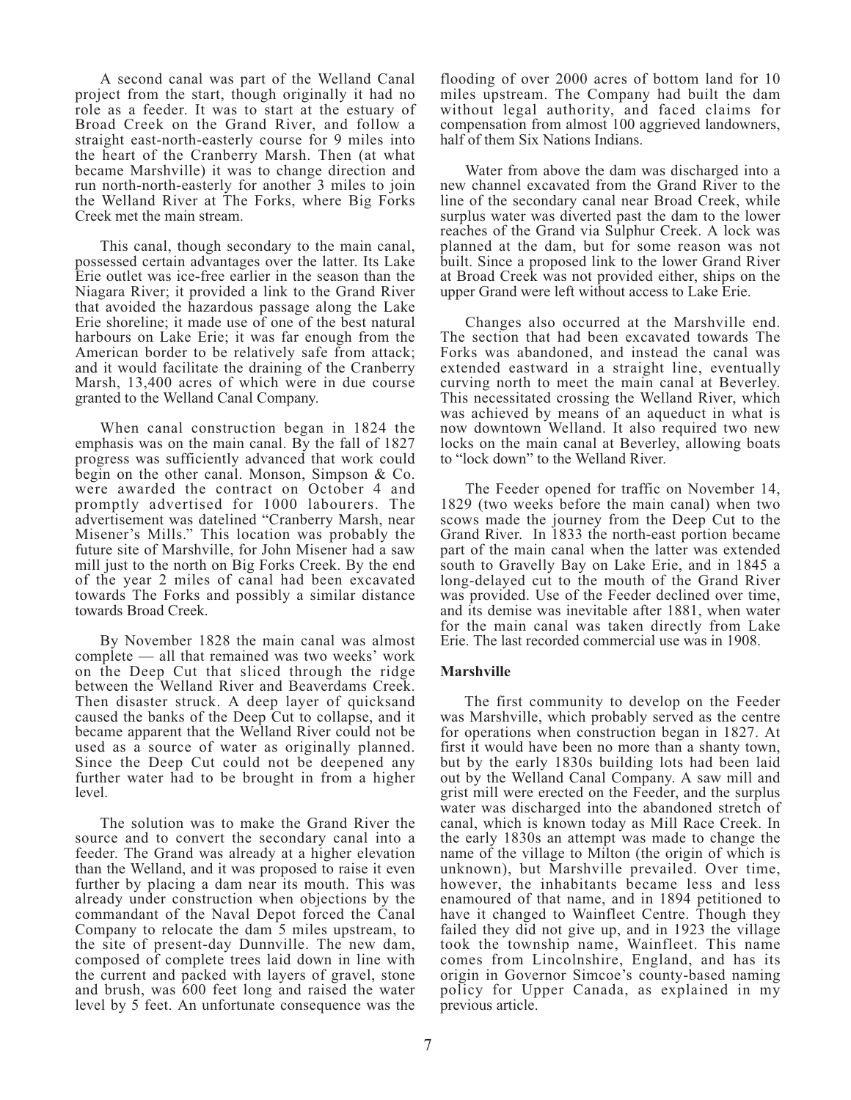A second canal was part of the Welland Canal project from the start, though originally it had no role as a feeder. It was to start at the estuary of Broad Creek on the Grand River, and follow a straight east-north-easterly course for 9 miles into the heart of the Cranberry Marsh. Then (at what became Marshville) it was to change direction and run north-north-easterly for another 3 miles to join the Welland River at The Forks, where Big Forks Creek met the main stream.

This canal, though secondary to the main canal, possessed certain advantages over the latter. Its Lake Erie outlet was ice-free earlier in the season than the Niagara River; it provided a link to the Grand River that avoided the hazardous passage along the Lake Erie shoreline; it made use of one of the best natural harbours on Lake Erie; it was far enough from the American border to be relatively safe from attack; and it would facilitate the draining of the Cranberry Marsh, 13,400 acres of which were in due course granted to the Welland Canal Company.

When canal construction began in 1824 the emphasis was on the main canal. By the fall of 1827 progress was sufficiently advanced that work could begin on the other canal. Monson, Simpson & Co. were awarded the contract on October 4 and promptly advertised for 1000 labourers. The advertisement was datelined "Cranberry Marsh, near Misener's Mills." This location was probably the future site of Marshville, for John Misener had a saw mill just to the north on Big Forks Creek. By the end of the year 2 miles of canal had been excavated towards The Forks and possibly a similar distance towards Broad Creek.

By November 1828 the main canal was almost complete — all that remained was two weeks' work on the Deep Cut that sliced through the ridge between the Welland River and Beaverdams Creek. Then disaster struck. A deep layer of quicksand caused the banks of the Deep Cut to collapse, and it became apparent that the Welland River could not be used as a source of water as originally planned. Since the Deep Cut could not be deepened any further water had to be brought in from a higher level.

The solution was to make the Grand River the source and to convert the secondary canal into a feeder. The Grand was already at a higher elevation than the Welland, and it was proposed to raise it even further by placing a dam near its mouth. This was already under construction when objections by the commandant of the Naval Depot forced the Canal Company to relocate the dam 5 miles upstream, to the site of present-day Dunnville. The new dam, composed of complete trees laid down in line with the current and packed with layers of gravel, stone and brush, was 600 feet long and raised the water level by 5 feet. An unfortunate consequence was the

flooding of over 2000 acres of bottom land for 10 miles upstream. The Company had built the dam without legal authority, and faced claims for compensation from almost 100 aggrieved landowners, half of them Six Nations Indians.

Water from above the dam was discharged into a new channel excavated from the Grand River to the line of the secondary canal near Broad Creek, while surplus water was diverted past the dam to the lower reaches of the Grand via Sulphur Creek. A lock was planned at the dam, but for some reason was not built. Since a proposed link to the lower Grand River at Broad Creek was not provided either, ships on the upper Grand were left without access to Lake Erie.

Changes also occurred at the Marshville end. The section that had been excavated towards The Forks was abandoned, and instead the canal was extended eastward in a straight line, eventually curving north to meet the main canal at Beverley. This necessitated crossing the Welland River, which was achieved by means of an aqueduct in what is now downtown Welland. It also required two new locks on the main canal at Beverley, allowing boats to "lock down" to the Welland River.

The Feeder opened for traffic on November 14, 1829 (two weeks before the main canal) when two scows made the journey from the Deep Cut to the Grand River. In 1833 the north-east portion became part of the main canal when the latter was extended south to Gravelly Bay on Lake Erie, and in 1845 a long-delayed cut to the mouth of the Grand River was provided. Use of the Feeder declined over time, and its demise was inevitable after 1881, when water for the main canal was taken directly from Lake Erie. The last recorded commercial use was in 1908.

#### **Marshville**

The first community to develop on the Feeder was Marshville, which probably served as the centre for operations when construction began in 1827. At first it would have been no more than a shanty town, but by the early 1830s building lots had been laid out by the Welland Canal Company. A saw mill and grist mill were erected on the Feeder, and the surplus water was discharged into the abandoned stretch of canal, which is known today as Mill Race Creek. In the early 1830s an attempt was made to change the name of the village to Milton (the origin of which is unknown), but Marshville prevailed. Over time, however, the inhabitants became less and less enamoured of that name, and in 1894 petitioned to have it changed to Wainfleet Centre. Though they failed they did not give up, and in 1923 the village took the township name, Wainfleet. This name<br>comes from Lincolnshire, England, and has its origin in Governor Simcoe's county-based naming policy for Upper Canada, as explained in my previous article.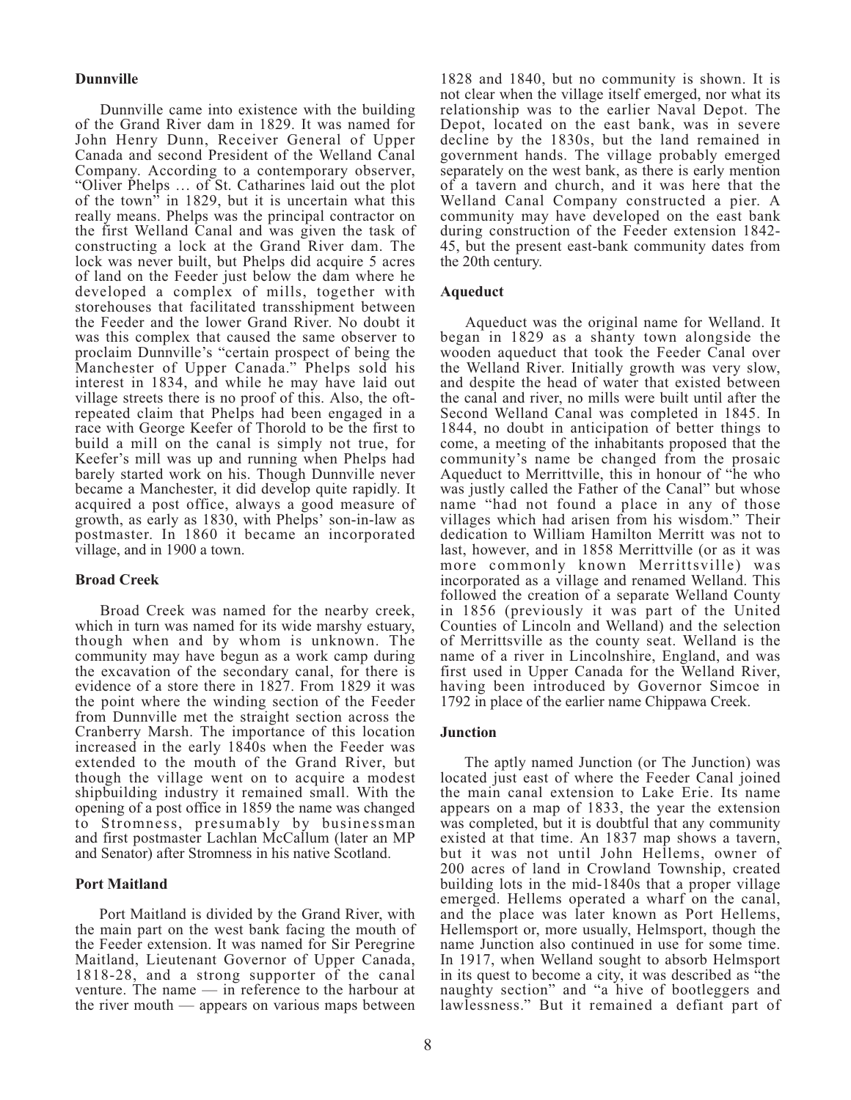# **Dunnville**

Dunnville came into existence with the building of the Grand River dam in 1829. It was named for John Henry Dunn, Receiver General of Upper Canada and second President of the Welland Canal Company. According to a contemporary observer, "Oliver Phelps ... of St. Catharines laid out the plot of the town<sup> $\overline{v}$ </sup> in 1829, but it is uncertain what this really means. Phelps was the principal contractor on the first Welland Canal and was given the task of constructing a lock at the Grand River dam. The lock was never built, but Phelps did acquire 5 acres of land on the Feeder just below the dam where he developed a complex of mills, together with storehouses that facilitated transshipment between the Feeder and the lower Grand River. No doubt it was this complex that caused the same observer to proclaim Dunnville's "certain prospect of being the Manchester of Upper Canada." Phelps sold his interest in 1834, and while he may have laid out village streets there is no proof of this. Also, the oftrepeated claim that Phelps had been engaged in a race with George Keefer of Thorold to be the first to build a mill on the canal is simply not true, for Keefer's mill was up and running when Phelps had barely started work on his. Though Dunnville never became a Manchester, it did develop quite rapidly. It acquired a post office, always a good measure of growth, as early as 1830, with Phelps' son-in-law as postmaster. In 1860 it became an incorporated village, and in 1900 a town.

# **Broad Creek**

Broad Creek was named for the nearby creek, which in turn was named for its wide marshy estuary, though when and by whom is unknown. The community may have begun as a work camp during the excavation of the secondary canal, for there is evidence of a store there in 1827. From 1829 it was the point where the winding section of the Feeder from Dunnville met the straight section across the Cranberry Marsh. The importance of this location increased in the early 1840s when the Feeder was extended to the mouth of the Grand River, but though the village went on to acquire a modest shipbuilding industry it remained small. With the opening of a post office in 1859 the name was changed to Stromness, presumably by businessman and first postmaster Lachlan McCallum (later an MP and Senator) after Stromness in his native Scotland.

#### **Port Maitland**

Port Maitland is divided by the Grand River, with the main part on the west bank facing the mouth of the Feeder extension. It was named for Sir Peregrine Maitland, Lieutenant Governor of Upper Canada, 1818-28, and a strong supporter of the canal venture. The name  $-$  in reference to the harbour at the river mouth  $-$  appears on various maps between

1828 and 1840, but no community is shown. It is not clear when the village itself emerged, nor what its relationship was to the earlier Naval Depot. The Depot, located on the east bank, was in severe decline by the 1830s, but the land remained in government hands. The village probably emerged separately on the west bank, as there is early mention of a tavern and church, and it was here that the Welland Canal Company constructed a pier. A community may have developed on the east bank during construction of the Feeder extension 1842-45, but the present east-bank community dates from the 20th century.

#### Aqueduct

Aqueduct was the original name for Welland. It began in 1829 as a shanty town alongside the wooden aqueduct that took the Feeder Canal over the Welland River. Initially growth was very slow, and despite the head of water that existed between the canal and river, no mills were built until after the Second Welland Canal was completed in 1845. In 1844, no doubt in anticipation of better things to come, a meeting of the inhabitants proposed that the community's name be changed from the prosaic Aqueduct to Merrittville, this in honour of "he who was justly called the Father of the Canal" but whose name "had not found a place in any of those villages which had arisen from his wisdom." Their dedication to William Hamilton Merritt was not to last, however, and in 1858 Merrittville (or as it was more commonly known Merrittsville) was incorporated as a village and renamed Welland. This followed the creation of a separate Welland County in 1856 (previously it was part of the United Counties of Lincoln and Welland) and the selection of Merrittsville as the county seat. Welland is the name of a river in Lincolnshire, England, and was first used in Upper Canada for the Welland River, having been introduced by Governor Simcoe in 1792 in place of the earlier name Chippawa Creek.

#### **Junction**

The aptly named Junction (or The Junction) was located just east of where the Feeder Canal joined the main canal extension to Lake Erie. Its name appears on a map of 1833, the year the extension was completed, but it is doubtful that any community existed at that time. An 1837 map shows a tavern, but it was not until John Hellems, owner of 200 acres of land in Crowland Township, created building lots in the mid-1840s that a proper village emerged. Hellems operated a wharf on the canal, and the place was later known as Port Hellems, Hellemsport or, more usually, Helmsport, though the name Junction also continued in use for some time. In 1917, when Welland sought to absorb Helmsport in its quest to become a city, it was described as "the naughty section" and "a hive of bootleggers and lawlessness." But it remained a defiant part of